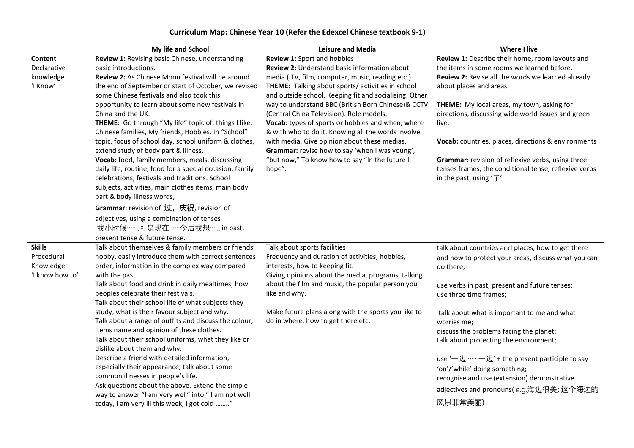## **Curriculum Map: Chinese Year 10 (Refer the Edexcel Chinese textbook 9-1)**

|                 | My life and School                                                                 | <b>Leisure and Media</b>                               | Where I live                                          |
|-----------------|------------------------------------------------------------------------------------|--------------------------------------------------------|-------------------------------------------------------|
| Content         | Review 1: Revising basic Chinese, understanding                                    | Review 1: Sport and hobbies                            | Review 1: Describe their home, room layouts and       |
| Declarative     | basic introductions.                                                               | Review 2: Understand basic information about           | the items in some rooms we learned before.            |
| knowledge       | Review 2: As Chinese Moon festival will be around                                  | media (TV, film, computer, music, reading etc.)        | Review 2: Revise all the words we learned already     |
| 'I Know'        | the end of September or start of October, we revised                               | THEME: Talking about sports/ activities in school      | about places and areas.                               |
|                 | some Chinese festivals and also took this                                          | and outside school. Keeping fit and socialising. Other |                                                       |
|                 | opportunity to learn about some new festivals in                                   | way to understand BBC (British Born Chinese)& CCTV     | THEME: My local areas, my town, asking for            |
|                 | China and the UK.                                                                  | (Central China Television). Role models.               | directions, discussing wide world issues and green    |
|                 | THEME: Go through "My life" topic of: things I like,                               | Vocab: types of sports or hobbies and when, where      | live.                                                 |
|                 | Chinese families, My friends, Hobbies. In "School"                                 | & with who to do it. Knowing all the words involve     |                                                       |
|                 | topic, focus of school day, school uniform & clothes,                              | with media. Give opinion about these medias.           | Vocab: countries, places, directions & environments   |
|                 | extend study of body part & illness.                                               | Grammar: revise how to say 'when I was young',         |                                                       |
|                 | Vocab: food, family members, meals, discussing                                     | "but now," To know how to say "In the future I         | Grammar: revision of reflexive verbs, using three     |
|                 | daily life, routine, food for a special occasion, family                           | hope".                                                 | tenses frames, the conditional tense, reflexive verbs |
|                 | celebrations, festivals and traditions. School                                     |                                                        | in the past, using $'\overline{\mathcal{J}}'$         |
|                 | subjects, activities, main clothes items, main body<br>part & body illness words,  |                                                        |                                                       |
|                 | Grammar: revision of 过, 庆祝, revision of                                            |                                                        |                                                       |
|                 |                                                                                    |                                                        |                                                       |
|                 | adjectives, using a combination of tenses<br>我小时候……可是现在……今后我想…… in past,           |                                                        |                                                       |
|                 | present tense & future tense.                                                      |                                                        |                                                       |
| <b>Skills</b>   | Talk about themselves & family members or friends'                                 | Talk about sports facilities                           | talk about countries and places, how to get there     |
| Procedural      | hobby, easily introduce them with correct sentences                                | Frequency and duration of activities, hobbies,         | and how to protect your areas, discuss what you can   |
| Knowledge       | order, information in the complex way compared                                     | interests, how to keeping fit.                         | do there;                                             |
| 'I know how to' | with the past.                                                                     | Giving opinions about the media, programs, talking     |                                                       |
|                 | Talk about food and drink in daily mealtimes, how                                  | about the film and music, the popular person you       | use verbs in past, present and future tenses;         |
|                 | peoples celebrate their festivals.                                                 | like and why.                                          | use three time frames;                                |
|                 | Talk about their school life of what subjects they                                 |                                                        |                                                       |
|                 | study, what is their favour subject and why.                                       | Make future plans along with the sports you like to    | talk about what is important to me and what           |
|                 | Talk about a range of outfits and discuss the colour,                              | do in where, how to get there etc.                     | worries me;                                           |
|                 | items name and opinion of these clothes.                                           |                                                        | discuss the problems facing the planet;               |
|                 | Talk about their school uniforms, what they like or                                |                                                        | talk about protecting the environment;                |
|                 | dislike about them and why.                                                        |                                                        |                                                       |
|                 | Describe a friend with detailed information,                                       |                                                        | use '-- 边……--- 边' + the present participle to say     |
|                 | especially their appearance, talk about some<br>common illnesses in people's life. |                                                        | 'on'/'while' doing something;                         |
|                 | Ask questions about the above. Extend the simple                                   |                                                        | recognise and use (extension) demonstrative           |
|                 | way to answer "I am very well" into "I am not well                                 |                                                        | adjectives and pronouns(e.g.海边很美; 这个海边的               |
|                 | today, I am very ill this week, I got cold "                                       |                                                        | 风景非常美丽)                                               |
|                 |                                                                                    |                                                        |                                                       |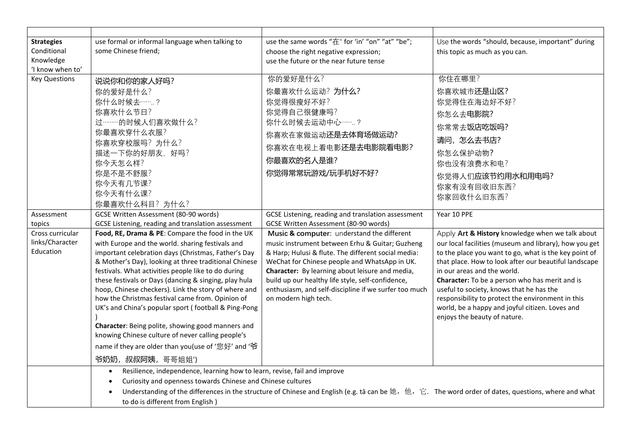| <b>Strategies</b>        | use formal or informal language when talking to                                                                                                                                                                                                                           | use the same words "在" for 'in' "on" "at" "be";                                                  | Use the words "should, because, important" during                                    |  |  |
|--------------------------|---------------------------------------------------------------------------------------------------------------------------------------------------------------------------------------------------------------------------------------------------------------------------|--------------------------------------------------------------------------------------------------|--------------------------------------------------------------------------------------|--|--|
| Conditional<br>Knowledge | some Chinese friend;                                                                                                                                                                                                                                                      | choose the right negative expression;<br>use the future or the near future tense                 | this topic as much as you can.                                                       |  |  |
| 'I know when to'         |                                                                                                                                                                                                                                                                           |                                                                                                  |                                                                                      |  |  |
| <b>Key Questions</b>     | 说说你和你的家人好吗?                                                                                                                                                                                                                                                               | 你的爱好是什么?                                                                                         | 你住在哪里?                                                                               |  |  |
|                          | 你的爱好是什么?                                                                                                                                                                                                                                                                  | 你最喜欢什么运动?为什么?                                                                                    | 你喜欢城市还是山区?                                                                           |  |  |
|                          | 你什么时候去…….?                                                                                                                                                                                                                                                                | 你觉得很瘦好不好?                                                                                        | 你觉得住在海边好不好?                                                                          |  |  |
|                          | 你喜欢什么节日?                                                                                                                                                                                                                                                                  | 你觉得自己很健康吗?                                                                                       | 你怎么去电影院?                                                                             |  |  |
|                          | 过………的时候人们喜欢做什么?                                                                                                                                                                                                                                                           | 你什么时候去运动中心…….?                                                                                   | 你常常去饭店吃饭吗?                                                                           |  |  |
|                          | 你最喜欢穿什么衣服?                                                                                                                                                                                                                                                                | 你喜欢在家做运动还是去体育场做运动?<br>你喜欢在电视上看电影还是去电影院看电影?                                                       |                                                                                      |  |  |
|                          | 你喜欢穿校服吗?为什么?                                                                                                                                                                                                                                                              |                                                                                                  | 请问,怎么去书店?                                                                            |  |  |
|                          | 描述一下你的好朋友, 好吗?                                                                                                                                                                                                                                                            |                                                                                                  | 你怎么保护动物?                                                                             |  |  |
|                          | 你今天怎么样?                                                                                                                                                                                                                                                                   | 你最喜欢的名人是谁?                                                                                       | 你也没有浪费水和电?                                                                           |  |  |
|                          | 你是不是不舒服?                                                                                                                                                                                                                                                                  | 你觉得常常玩游戏/玩手机好不好?                                                                                 | 你觉得人们应该节约用水和用电吗?                                                                     |  |  |
|                          | 你今天有几节课?<br>你今天有什么课?                                                                                                                                                                                                                                                      |                                                                                                  | 你家有没有回收旧东西?                                                                          |  |  |
|                          | 你最喜欢什么科目?为什么?                                                                                                                                                                                                                                                             |                                                                                                  | 你家回收什么旧东西?                                                                           |  |  |
| Assessment               | GCSE Written Assessment (80-90 words)                                                                                                                                                                                                                                     | GCSE Listening, reading and translation assessment                                               | Year 10 PPE                                                                          |  |  |
| topics                   | GCSE Listening, reading and translation assessment                                                                                                                                                                                                                        | GCSE Written Assessment (80-90 words)                                                            |                                                                                      |  |  |
| Cross curricular         | Food, RE, Drama & PE: Compare the food in the UK                                                                                                                                                                                                                          | Music & computer: understand the different                                                       | Apply Art & History knowledge when we talk about                                     |  |  |
| links/Character          | with Europe and the world. sharing festivals and                                                                                                                                                                                                                          | music instrument between Erhu & Guitar; Guzheng                                                  | our local facilities (museum and library), how you get                               |  |  |
| Education                | important celebration days (Christmas, Father's Day                                                                                                                                                                                                                       | & Harp; Hulusi & flute. The different social media:                                              | to the place you want to go, what is the key point of                                |  |  |
|                          | & Mother's Day), looking at three traditional Chinese<br>festivals. What activities people like to do during                                                                                                                                                              | WeChat for Chinese people and WhatsApp in UK.<br>Character: By learning about leisure and media, | that place. How to look after our beautiful landscape<br>in our areas and the world. |  |  |
|                          | these festivals or Days (dancing & singing, play hula                                                                                                                                                                                                                     | build up our healthy life style, self-confidence,                                                | Character: To be a person who has merit and is                                       |  |  |
|                          | hoop, Chinese checkers). Link the story of where and                                                                                                                                                                                                                      | enthusiasm, and self-discipline if we surfer too much                                            | useful to society, knows that he has the                                             |  |  |
|                          | how the Christmas festival came from. Opinion of                                                                                                                                                                                                                          | on modern high tech.                                                                             | responsibility to protect the environment in this                                    |  |  |
|                          | UK's and China's popular sport (football & Ping-Pong                                                                                                                                                                                                                      |                                                                                                  | world, be a happy and joyful citizen. Loves and                                      |  |  |
|                          | Character: Being polite, showing good manners and                                                                                                                                                                                                                         |                                                                                                  | enjoys the beauty of nature.                                                         |  |  |
|                          | knowing Chinese culture of never calling people's                                                                                                                                                                                                                         |                                                                                                  |                                                                                      |  |  |
|                          | name if they are older than you(use of '您好' and '爷                                                                                                                                                                                                                        |                                                                                                  |                                                                                      |  |  |
|                          | 爷奶奶, 叔叔阿姨, 哥哥姐姐')                                                                                                                                                                                                                                                         |                                                                                                  |                                                                                      |  |  |
|                          | Resilience, independence, learning how to learn, revise, fail and improve<br>$\bullet$                                                                                                                                                                                    |                                                                                                  |                                                                                      |  |  |
|                          | Curiosity and openness towards Chinese and Chinese cultures<br>$\bullet$<br>Understanding of the differences in the structure of Chinese and English (e.g. tā can be $\mu$ , $\dot{\mu}$ , $\dot{\mu}$ , $\dot{\mu}$ . The word order of dates, questions, where and what |                                                                                                  |                                                                                      |  |  |
|                          |                                                                                                                                                                                                                                                                           |                                                                                                  |                                                                                      |  |  |
|                          | to do is different from English)                                                                                                                                                                                                                                          |                                                                                                  |                                                                                      |  |  |